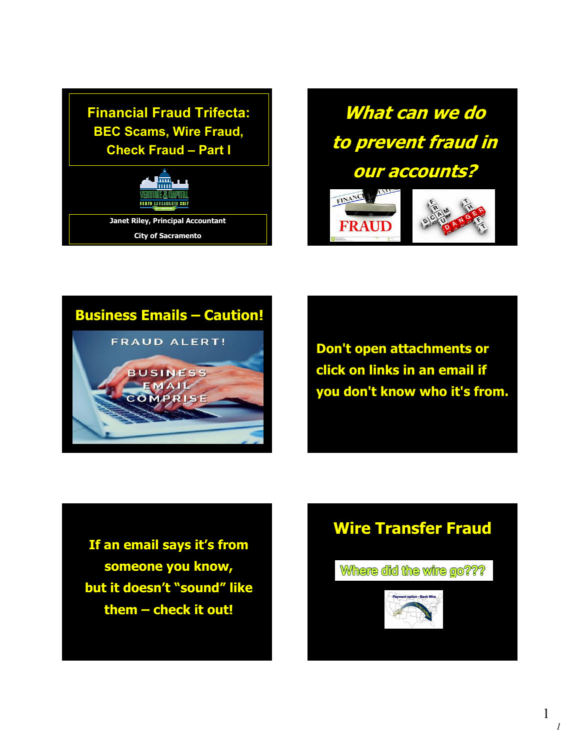**Financial Fraud Trifecta: BEC Scams, Wire Fraud, Check Fraud – Part I**



**What can we do to prevent fraud in our accounts?**



## **Business Emails – Caution!**



**Don't open attachments or click on links in an email if you don't know who it's from.**

**If an email says it's from someone you know, but it doesn't "sound" like them – check it out!**

# **Wire Transfer Fraud**

Where did the wire go???





*1* 1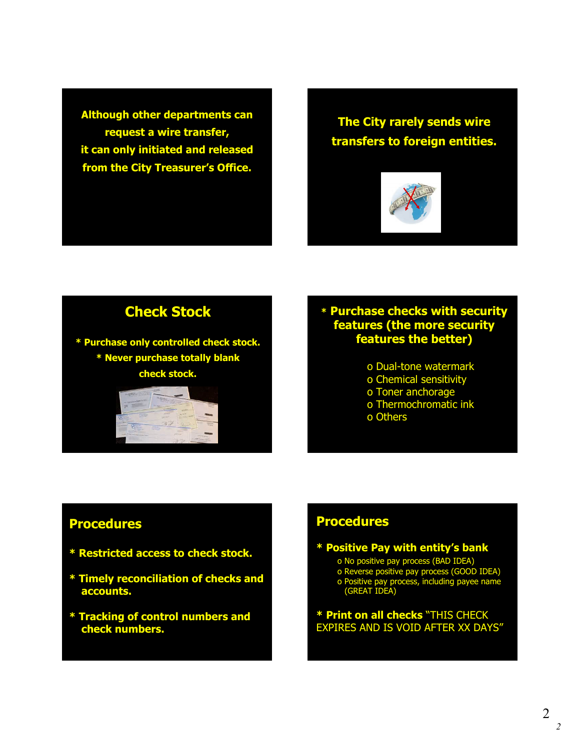**Although other departments can request a wire transfer, it can only initiated and released from the City Treasurer's Office.**

**The City rarely sends wire transfers to foreign entities.**



## **Check Stock**

**\* Purchase only controlled check stock. \* Never purchase totally blank check stock.**



#### **\* Purchase checks with security features (the more security features the better)**

o Dual-tone watermark o Chemical sensitivity o Toner anchorage o Thermochromatic ink o Others

#### **Procedures**

- **\* Restricted access to check stock.**
- **\* Timely reconciliation of checks and accounts.**
- **\* Tracking of control numbers and check numbers.**

#### **Procedures**

**\* Positive Pay with entity's bank** o No positive pay process (BAD IDEA) o Reverse positive pay process (GOOD IDEA) o Positive pay process, including payee name (GREAT IDEA)

**\* Print on all checks** "THIS CHECK EXPIRES AND IS VOID AFTER XX DAYS"

*2*